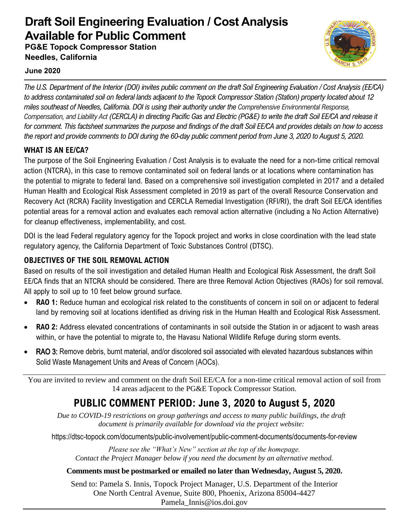# **Draft Soil Engineering Evaluation / Cost Analysis Available for Public Comment**

**PG&E Topock Compressor Station Needles, California**



## **June 2020**

*The U.S. Department of the Interior (DOI) invites public comment on the draft Soil Engineering Evaluation / Cost Analysis (EE/CA) to address contaminated soil on federal lands adjacent to the Topock Compressor Station (Station) property located about 12 miles southeast of Needles, California. DOI is using their authority under the Comprehensive Environmental Response, Compensation, and Liability Act (CERCLA) in directing Pacific Gas and Electric (PG&E) to write the draft Soil EE/CA and release it for comment. This factsheet summarizes the purpose and findings of the draft Soil EE/CA and provides details on how to access the report and provide comments to DOI during the 60-day public comment period from June 3, 2020 to August 5, 2020.*

## **WHAT IS AN EE/CA?**

The purpose of the Soil Engineering Evaluation / Cost Analysis is to evaluate the need for a non-time critical removal action (NTCRA), in this case to remove contaminated soil on federal lands or at locations where contamination has the potential to migrate to federal land. Based on a comprehensive soil investigation completed in 2017 and a detailed Human Health and Ecological Risk Assessment completed in 2019 as part of the overall Resource Conservation and Recovery Act (RCRA) Facility Investigation and CERCLA Remedial Investigation (RFI/RI), the draft Soil EE/CA identifies potential areas for a removal action and evaluates each removal action alternative (including a No Action Alternative) for cleanup effectiveness, implementability, and cost.

DOI is the lead Federal regulatory agency for the Topock project and works in close coordination with the lead state regulatory agency, the California Department of Toxic Substances Control (DTSC).

## **OBJECTIVES OF THE SOIL REMOVAL ACTION**

Based on results of the soil investigation and detailed Human Health and Ecological Risk Assessment, the draft Soil EE/CA finds that an NTCRA should be considered. There are three Removal Action Objectives (RAOs) for soil removal. All apply to soil up to 10 feet below ground surface.

- **RAO 1:** Reduce human and ecological risk related to the constituents of concern in soil on or adjacent to federal land by removing soil at locations identified as driving risk in the Human Health and Ecological Risk Assessment.
- **RAO 2:** Address elevated concentrations of contaminants in soil outside the Station in or adjacent to wash areas within, or have the potential to migrate to, the Havasu National Wildlife Refuge during storm events.
- RAO 3: Remove debris, burnt material, and/or discolored soil associated with elevated hazardous substances within Solid Waste Management Units and Areas of Concern (AOCs).

You are invited to review and comment on the draft Soil EE/CA for a non-time critical removal action of soil from 14 areas adjacent to the PG&E Topock Compressor Station.

## **PUBLIC COMMENT PERIOD: June 3, 2020 to August 5, 2020**

*Due to COVID-19 restrictions on group gatherings and access to many public buildings, the draft document is primarily available for download via the project website:* 

https://dtsc-topock.com/documents/public-involvement/public-comment-documents/documents-for-review

*Please see the "What's New" section at the top of the homepage. Contact the Project Manager below if you need the document by an alternative method.* 

## **Comments must be postmarked or emailed no later than Wednesday, August 5, 2020.**

Send to: Pamela S. Innis, Topock Project Manager, U.S. Department of the Interior One North Central Avenue, Suite 800, Phoenix, Arizona 85004-4427 Pamela\_Innis@ios.doi.gov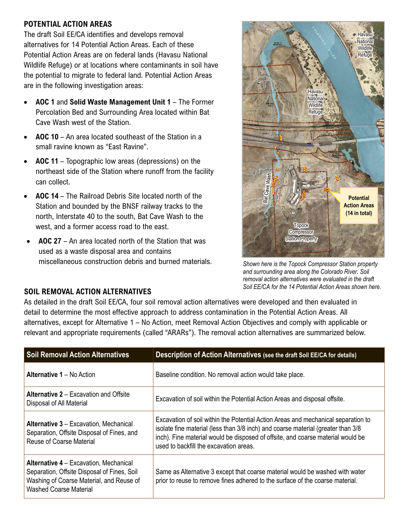#### **POTENTIAL ACTION AREAS**

The draft Soil EE/CA identifies and develops removal alternatives for 14 Potential Action Areas. Each of these Potential Action Areas are on federal lands (Havasu National Wildlife Refuge) or at locations where contaminants in soil have the potential to migrate to federal land. Potential Action Areas are in the following investigation areas:

- **AOC 1** and **Solid Waste Management Unit 1**  The Former Percolation Bed and Surrounding Area located within Bat Cave Wash west of the Station.
- **AOC 10**  An area located southeast of the Station in a small ravine known as "East Ravine".
- **AOC 11**  Topographic low areas (depressions) on the northeast side of the Station where runoff from the facility can collect.
- **AOC 14**  The Railroad Debris Site located north of the Station and bounded by the BNSF railway tracks to the north, Interstate 40 to the south, Bat Cave Wash to the west, and a former access road to the east.
- **AOC 27** An area located north of the Station that was used as a waste disposal area and contains miscellaneous construction debris and burned materials.



*Shown here is the Topock Compressor Station property and surrounding area along the Colorado River. Soil removal action alternatives were evaluated in the draft Soil EE/CA for the 14 Potential Action Areas shown here.* 

#### **SOIL REMOVAL ACTION ALTERNATIVES**

As detailed in the draft Soil EE/CA, four soil removal action alternatives were developed and then evaluated in detail to determine the most effective approach to address contamination in the Potential Action Areas. All alternatives, except for Alternative 1 – No Action, meet Removal Action Objectives and comply with applicable or relevant and appropriate requirements (called "ARARs"). The removal action alternatives are summarized below.

| <b>Soil Removal Action Alternatives</b>                                                                                                                                   | Description of Action Alternatives (see the draft Soil EE/CA for details)                                                                                                                                                                                                                          |
|---------------------------------------------------------------------------------------------------------------------------------------------------------------------------|----------------------------------------------------------------------------------------------------------------------------------------------------------------------------------------------------------------------------------------------------------------------------------------------------|
| <b>Alternative 1 – No Action</b>                                                                                                                                          | Baseline condition. No removal action would take place.                                                                                                                                                                                                                                            |
| <b>Alternative 2 – Excavation and Offsite</b><br>Disposal of All Material                                                                                                 | Excavation of soil within the Potential Action Areas and disposal offsite.                                                                                                                                                                                                                         |
| <b>Alternative 3 – Excavation, Mechanical</b><br>Separation, Offsite Disposal of Fines, and<br><b>Reuse of Coarse Material</b>                                            | Excavation of soil within the Potential Action Areas and mechanical separation to<br>isolate fine material (less than 3/8 inch) and coarse material (greater than 3/8<br>inch). Fine material would be disposed of offsite, and coarse material would be<br>used to backfill the excavation areas. |
| <b>Alternative 4 – Excavation, Mechanical</b><br>Separation, Offsite Disposal of Fines, Soil<br>Washing of Coarse Material, and Reuse of<br><b>Washed Coarse Material</b> | Same as Alternative 3 except that coarse material would be washed with water<br>prior to reuse to remove fines adhered to the surface of the coarse material.                                                                                                                                      |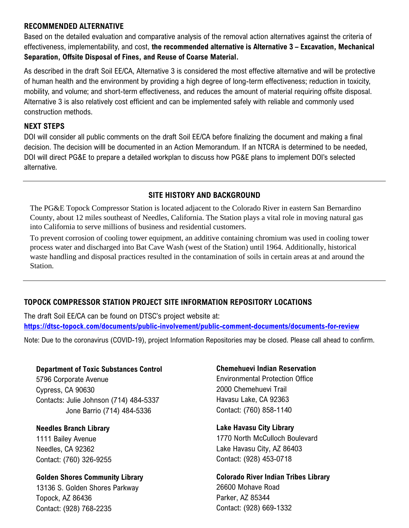#### **RECOMMENDED ALTERNATIVE**

Based on the detailed evaluation and comparative analysis of the removal action alternatives against the criteria of effectiveness, implementability, and cost, **the recommended alternative is Alternative 3 – Excavation, Mechanical Separation, Offsite Disposal of Fines, and Reuse of Coarse Material.**

As described in the draft Soil EE/CA, Alternative 3 is considered the most effective alternative and will be protective of human health and the environment by providing a high degree of long-term effectiveness; reduction in toxicity, mobility, and volume; and short-term effectiveness, and reduces the amount of material requiring offsite disposal. Alternative 3 is also relatively cost efficient and can be implemented safely with reliable and commonly used construction methods.

#### **NEXT STEPS**

DOI will consider all public comments on the draft Soil EE/CA before finalizing the document and making a final decision. The decision willl be documented in an Action Memorandum. If an NTCRA is determined to be needed, DOI will direct PG&E to prepare a detailed workplan to discuss how PG&E plans to implement DOI's selected alternative.

## **SITE HISTORY AND BACKGROUND**

The PG&E Topock Compressor Station is located adjacent to the Colorado River in eastern San Bernardino County, about 12 miles southeast of Needles, California. The Station plays a vital role in moving natural gas into California to serve millions of business and residential customers.

To prevent corrosion of cooling tower equipment, an additive containing chromium was used in cooling tower process water and discharged into Bat Cave Wash (west of the Station) until 1964. Additionally, historical waste handling and disposal practices resulted in the contamination of soils in certain areas at and around the Station.

## **TOPOCK COMPRESSOR STATION PROJECT SITE INFORMATION REPOSITORY LOCATIONS**

The draft Soil EE/CA can be found on DTSC's project website at: **<https://dtsc-topock.com/documents/public-involvement/public-comment-documents/documents-for-review>**

Note: Due to the coronavirus (COVID-19), project Information Repositories may be closed. Please call ahead to confirm.

#### **Department of Toxic Substances Control**

5796 Corporate Avenue Cypress, CA 90630 Contacts: Julie Johnson (714) 484-5337 Jone Barrio (714) 484-5336

**Needles Branch Library** 

1111 Bailey Avenue Needles, CA 92362 Contact: (760) 326-9255

#### **Golden Shores Community Library**

13136 S. Golden Shores Parkway Topock, AZ 86436 Contact: (928) 768-2235

#### **Chemehuevi Indian Reservation**

Environmental Protection Office 2000 Chemehuevi Trail Havasu Lake, CA 92363 Contact: (760) 858-1140

#### **Lake Havasu City Library**

1770 North McCulloch Boulevard Lake Havasu City, AZ 86403 Contact: (928) 453-0718

**Colorado River Indian Tribes Library**  26600 Mohave Road Parker, AZ 85344 Contact: (928) 669-1332